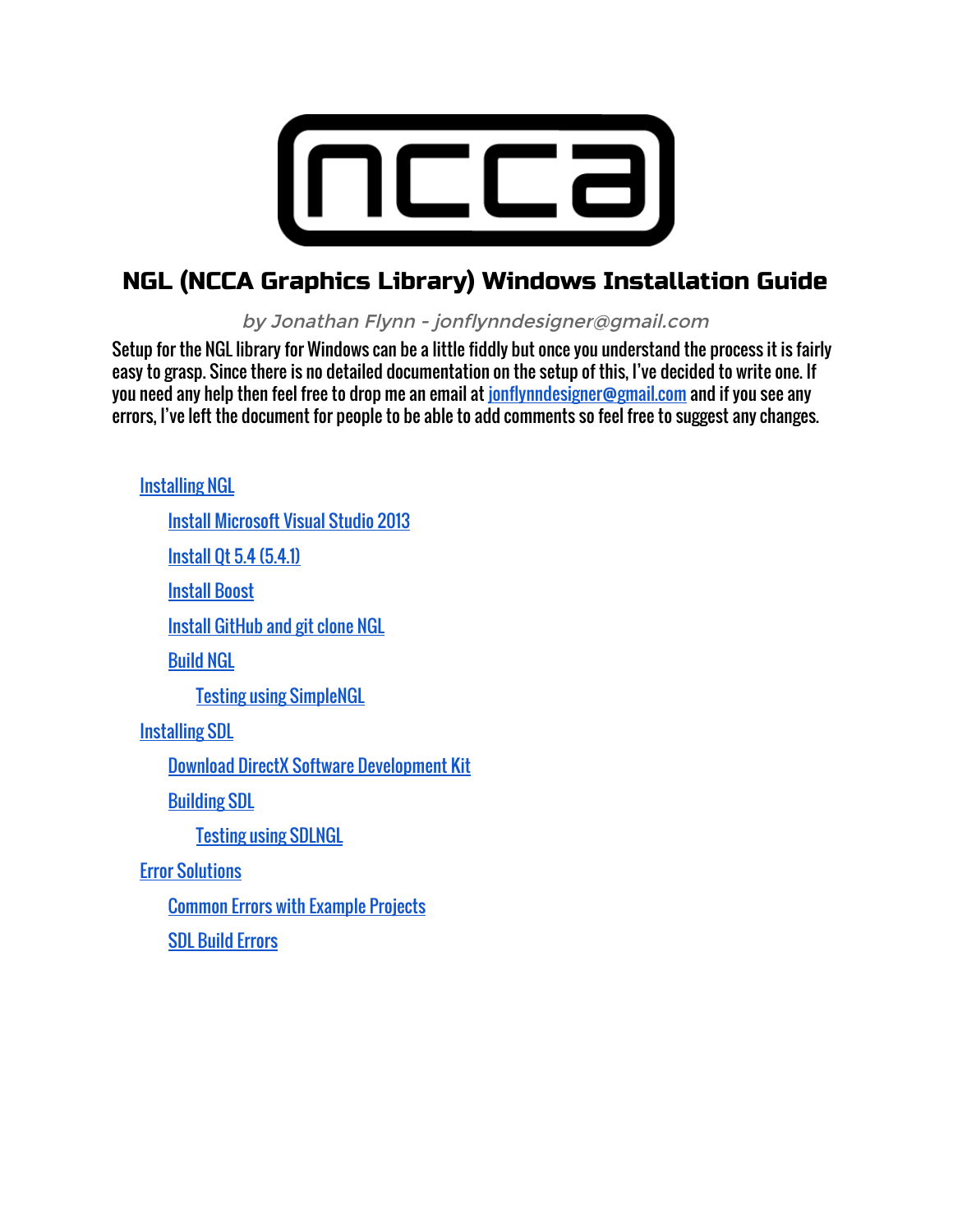

## NGL (NCCA Graphics Library) Windows Installation Guide

by Jonathan Flynn - jonflynndesigner@gmail.com

Setup for the NGL library for Windows can be a little fiddly but once you understand the process it is fairly easy to grasp. Since there is no detailed documentation on the setup of this, I've decided to write one. If you need any help then feel free to drop me an email at [jonflynndesigner@gmail.com](mailto:jonflynndesigner@gmail.com) and if you see any errors, I've left the document for people to be able to add comments so feel free to suggest any changes.

[Installing](#page-1-0) NGL Install [Microsoft](#page-1-1) Visual Studio 2013 [Install](#page-1-2) Qt 5.4 (5.4.1) [Install](#page-1-3) Boost Install [GitHub](#page-1-4) and git clone NGL [Build](#page-2-0) NGL Testing using [SimpleNGL](#page-2-1) [Installing](#page-3-0) SDL Download DirectX Software [Development](#page-3-1) Kit [Building](#page-3-2) SDL Testing using [SDLNGL](#page-4-0) Error [Solutions](#page-6-0) [Common](#page-6-1) Errors with Example Projects SDL Build [Errors](#page-8-0)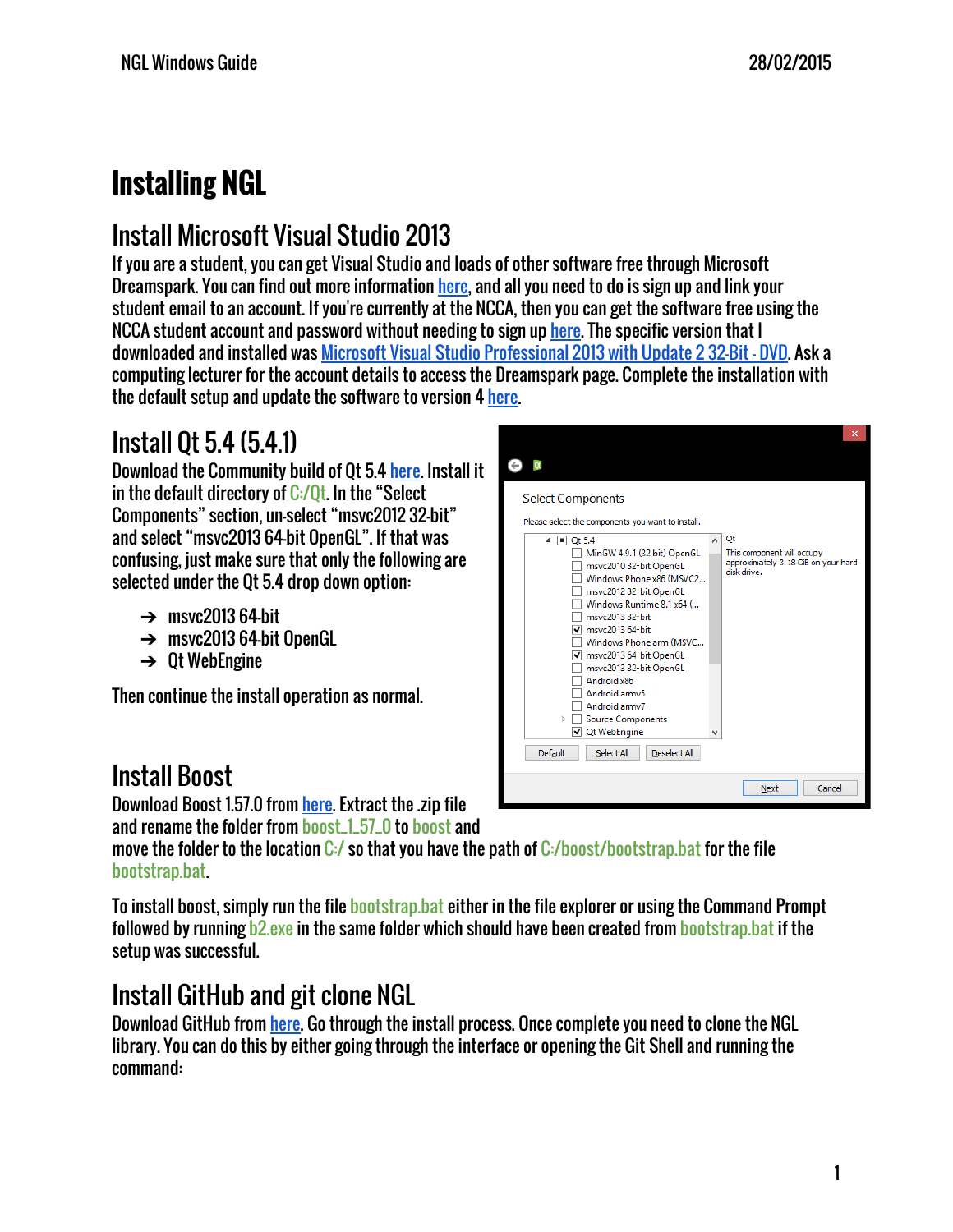# <span id="page-1-0"></span>**Installing NGL**

# <span id="page-1-1"></span>Install Microsoft Visual Studio 2013

If you are a student, you can get Visual Studio and loads of other software free through Microsoft Dreamspark. You can find out more information [here,](https://www.dreamspark.com/Student/Software-Catalog.aspx) and all you need to do is sign up and link your student email to an account. If you're currently at the NCCA, then you can get the software free using the NCCA student account and password without needing to sign up [here.](http://e5.onthehub.com/WebStore/OfferingsOfMajorVersionList.aspx?pmv=141e0812-34df-e211-9000-f04da23fc520&cmi_mnuMain=bdba23cf-e05e-e011-971f-0030487d8897&ws=7bba3bb2-bd8b-e011-969d-0030487d8897&vsro=8) The specific version that I downloaded and installed was Microsoft Visual Studio [Professional](http://e5.onthehub.com/WebStore/OfferingDetails.aspx?o=b55a7945-25dd-e311-93fd-b8ca3a5db7a3&ws=7bba3bb2-bd8b-e011-969d-0030487d8897&vsro=8) 2013 with Update 2 32-Bit - DVD. Ask a computing lecturer for the account details to access the Dreamspark page. Complete the installation with the default setup and update the software to version 4 [here.](http://www.microsoft.com/en-gb/download/details.aspx?id=44921)

# <span id="page-1-2"></span>Install Qt 5.4 (5.4.1)

Download the Community build of Qt 5.4 [here.](http://www.qt.io/download-open-source/) Install it in the default directory of  $C/0t$ . In the "Select Components" section, un-select "msvc2012 32-bit" and select "msvc2013 64-bit OpenGL". If that was confusing, just make sure that only the following are selected under the Qt 5.4 drop down option:

- $\rightarrow$  msvc2013 64-bit
- $\rightarrow$  msvc2013 64-bit OpenGL
- $\rightarrow$  Qt WebEngine

Then continue the install operation as normal.

# <span id="page-1-3"></span>Install Boost

Download Boost 1.57.0 from [here.](http://www.boost.org/users/history/version_1_57_0.html) Extract the .zip file

and rename the folder from boost\_1\_57\_0 to boost and

move the folder to the location C:/ so that you have the path of C:/boost/bootstrap.bat for the file bootstrap.bat.

To install boost, simply run the file bootstrap.bat either in the file explorer or using the Command Prompt followed by running b2.exe in the same folder which should have been created from bootstrap.bat if the setup was successful.

# <span id="page-1-4"></span>Install GitHub and git clone NGL

Download GitHub from [here.](https://windows.github.com/) Go through the install process. Once complete you need to clone the NGL library. You can do this by either going through the interface or opening the Git Shell and running the command:

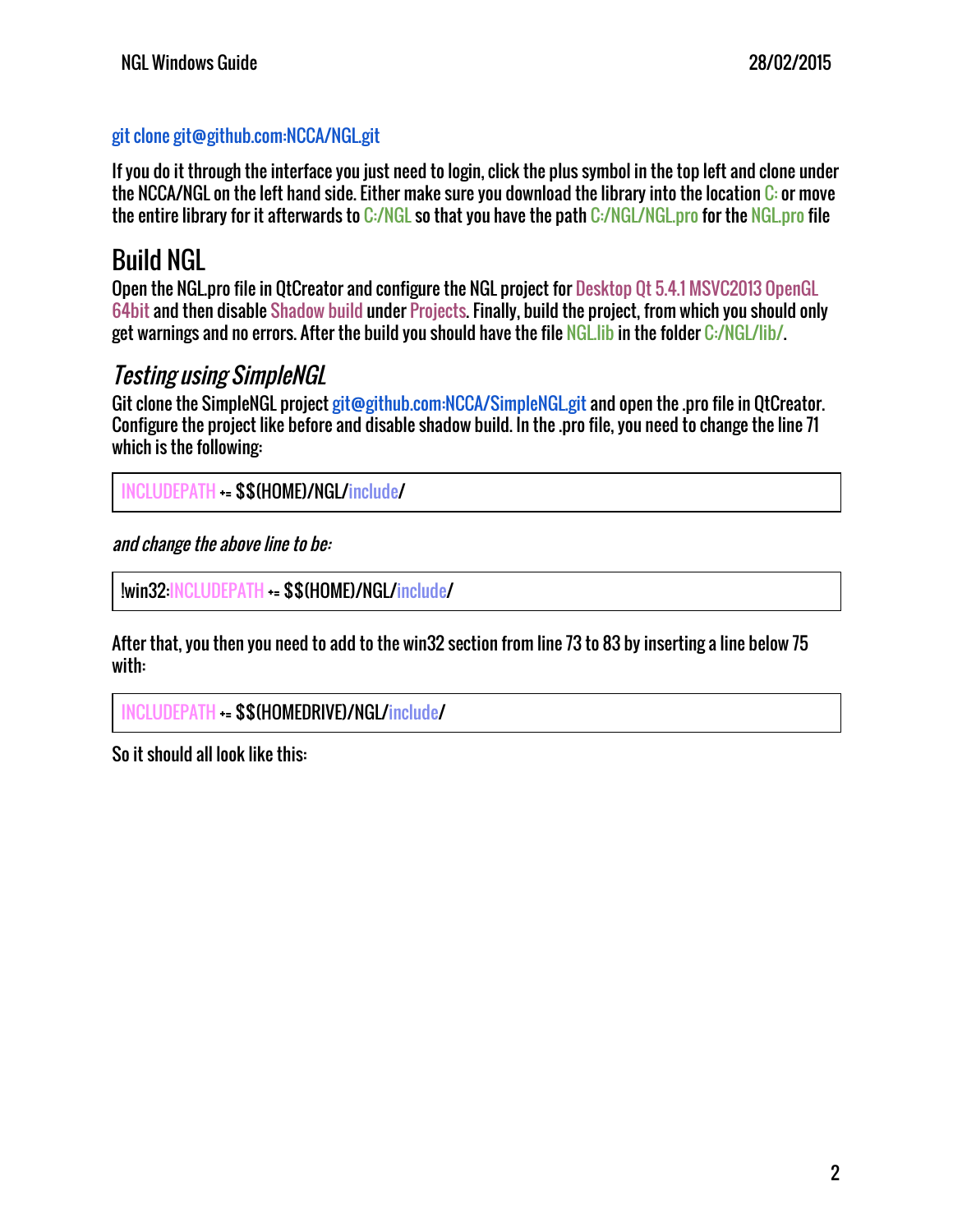## git clone git@github.com:NCCA/NGL.git

If you do it through the interface you just need to login, click the plus symbol in the top left and clone under the NCCA/NGL on the left hand side. Either make sure you download the library into the location C: or move the entire library for it afterwards to C:/NGL so that you have the path C:/NGL/NGL.pro for the NGL.pro file

## <span id="page-2-0"></span>Build NGL

Open the NGL.pro file in QtCreator and configure the NGL project for Desktop Qt 5.4.1 MSVC2013 OpenGL 64bit and then disable Shadow build under Projects. Finally, build the project, from which you should only get warnings and no errors. After the build you should have the file NGL.lib in the folder C:/NGL/lib/.

## <span id="page-2-1"></span>Testing using SimpleNGL

Git clone the SimpleNGL project git@github.com:NCCA/SimpleNGL.git and open the .pro file in OtCreator. Configure the project like before and disable shadow build. In the .pro file, you need to change the line 71 which is the following:

INCLUDEPATH += \$\$(HOME)/NGL/include/

and change the above line to be:

!win32:INCLUDEPATH += \$\$(HOME)/NGL/include/

After that, you then you need to add to the win32 section from line 73 to 83 by inserting a line below 75 with:

```
INCLUDEPATH += $$(HOMEDRIVE)/NGL/include/
```
So it should all look like this: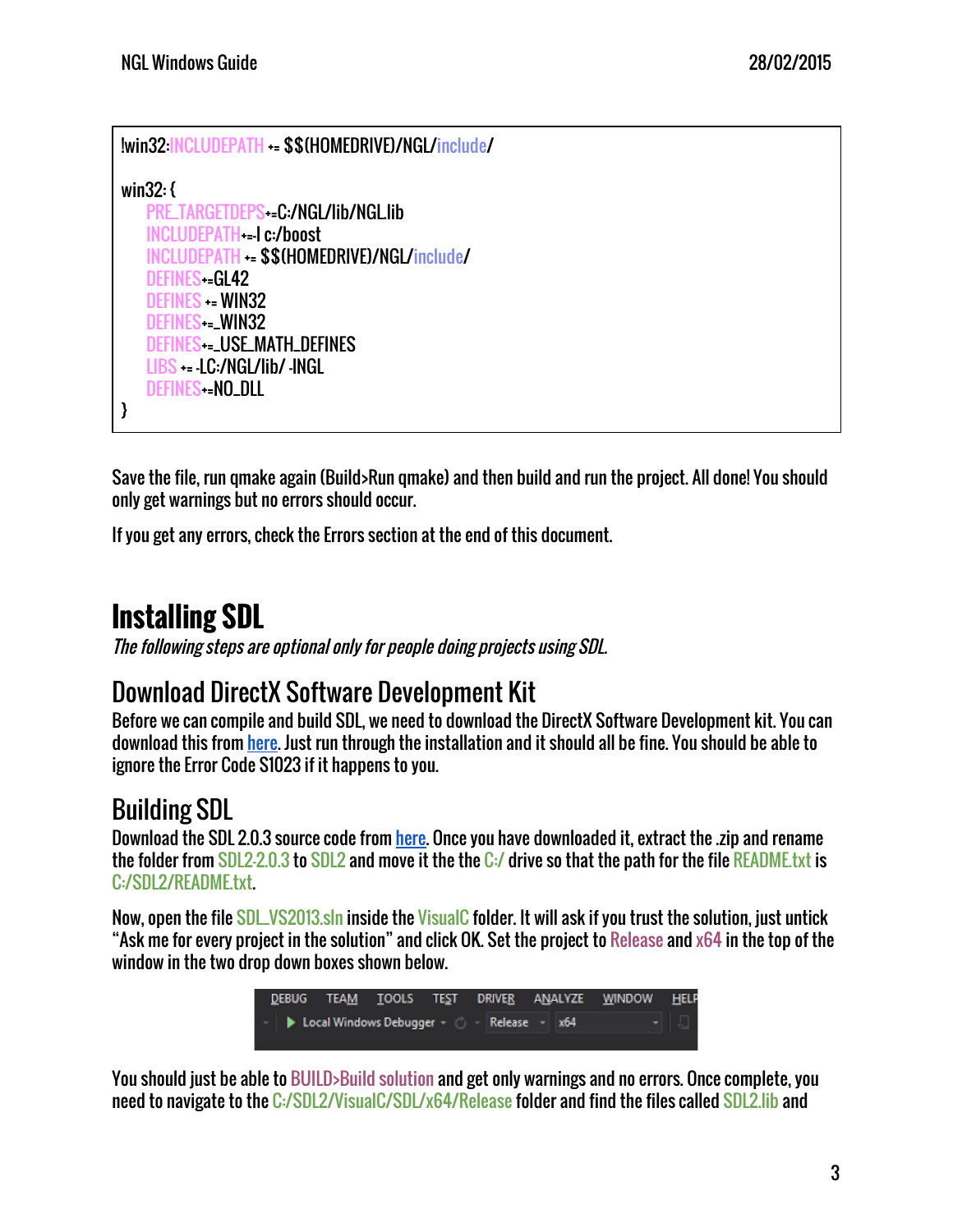```
!win32:INCLUDEPATH += $$(HOMEDRIVE)/NGL/include/
win32: {
   PRE_TARGETDEPS--C:/NGL/lib/NGL.lib
   INCLUDEPATH<sub>=-I</sub> c:/boost
   INCLUDEPATH += $$(HOMEDRIVE)/NGL/include/
   DEFINES-=GL42
   DEFINES += WIN32
   DEFINES+=_WIN32
   DEFINES+=_USE_MATH_DEFINES
   LIBS += -LC:/NGL/lib/ -lNGL
   DEFINES-=NO_DLL
}
```
Save the file, run qmake again (Build>Run qmake) and then build and run the project. All done! You should only get warnings but no errors should occur.

If you get any errors, check the Errors section at the end of this document.

# <span id="page-3-0"></span>**Installing SDL**

The following steps are optional only for people doing projects using SDL.

## <span id="page-3-1"></span>Download DirectX Software Development Kit

Before we can compile and build SDL, we need to download the DirectX Software Development kit. You can download this from [here](http://www.microsoft.com/en-gb/download/details.aspx?id=6812). Just run through the installation and it should all be fine. You should be able to ignore the Error Code S1023 if it happens to you.

# <span id="page-3-2"></span>Building SDL

Download the SDL 2.0.3 source code from [here.](https://www.libsdl.org/download-2.0.php) Once you have downloaded it, extract the .zip and rename the folder from SDL2-2.0.3 to SDL2 and move it the the C:/ drive so that the path for the file README.txt is C:/SDL2/README.txt.

Now, open the file SDL\_VS2013.sln inside the VisualC folder. It will ask if you trust the solution, just untick "Ask me for every project in the solution" and click OK. Set the project to Release and x64 in the top of the window in the two drop down boxes shown below.



You should just be able to BUILD>Build solution and get only warnings and no errors. Once complete, you need to navigate to the C:/SDL2/VisualC/SDL/x64/Release folder and find the files called SDL2.lib and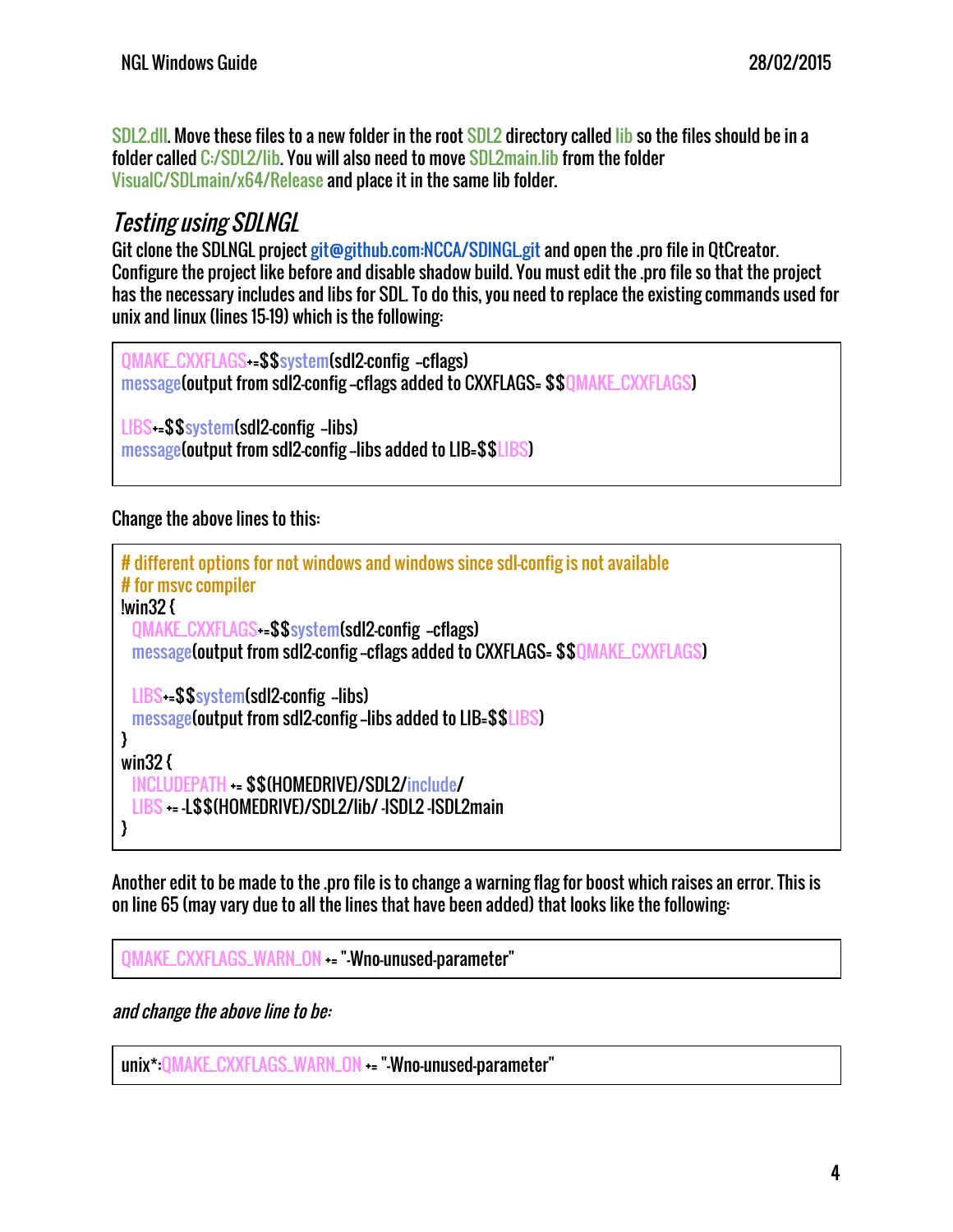SDL2.dll. Move these files to a new folder in the root SDL2 directory called lib so the files should be in a folder called C:/SDL2/lib. You will also need to move SDL2main.lib from the folder VisualC/SDLmain/x64/Release and place it in the same lib folder.

## <span id="page-4-0"></span>Testing using SDLNGL

Git clone the SDLNGL project git@github.com:NCCA/SDINGL.git and open the .pro file in OtCreator. Configure the project like before and disable shadow build. You must edit the .pro file so that the project has the necessary includes and libs for SDL. To do this, you need to replace the existing commands used for unix and linux (lines 15-19) which is the following:

QMAKE\_CXXFLAGS+=\$\$system(sdl2-config --cflags) message(output from sdl2-config --cflags added to CXXFLAGS= \$\$QMAKE\_CXXFLAGS)

LIBS+=\$\$system(sdl2-config -libs)  $_{\text{message}}$  (output from sdl2-config-libs added to LIB= $$$LLBS$ )

Change the above lines to this:

```
# different options for not windows and windows since sdl-config is not available
# for msvc compiler
!win32 {
 QMAKE_CXXFLAGS -= $$system(sdl2-config --cflags)
 message(output from sdl2-config-cflags added to CXXFLAGS= $$OMAKE_CXXFLAGS)
 LIBS-=$$system(sdl2-config -libs)
 \overline{m}essage(output from sdl2-config-libs added to LIB=$$LIBS)
}
win32 {
 INCLUDEPATH += $$(HOMEDRIVE)/SDL2/include/
 LIBS -- L$$(HOMEDRIVE)/SDL2/lib/ -ISDL2 -ISDL2main
}
```
Another edit to be made to the .pro file is to change a warning flag for boost which raises an error. This is on line 65 (may vary due to all the lines that have been added) that looks like the following:

QMAKE\_CXXFLAGS\_WARN\_ON += "-Wno-unused-parameter"

and change the above line to be:

unix\*:QMAKE\_CXXFLAGS\_WARN\_ON += "-Wno-unused-parameter"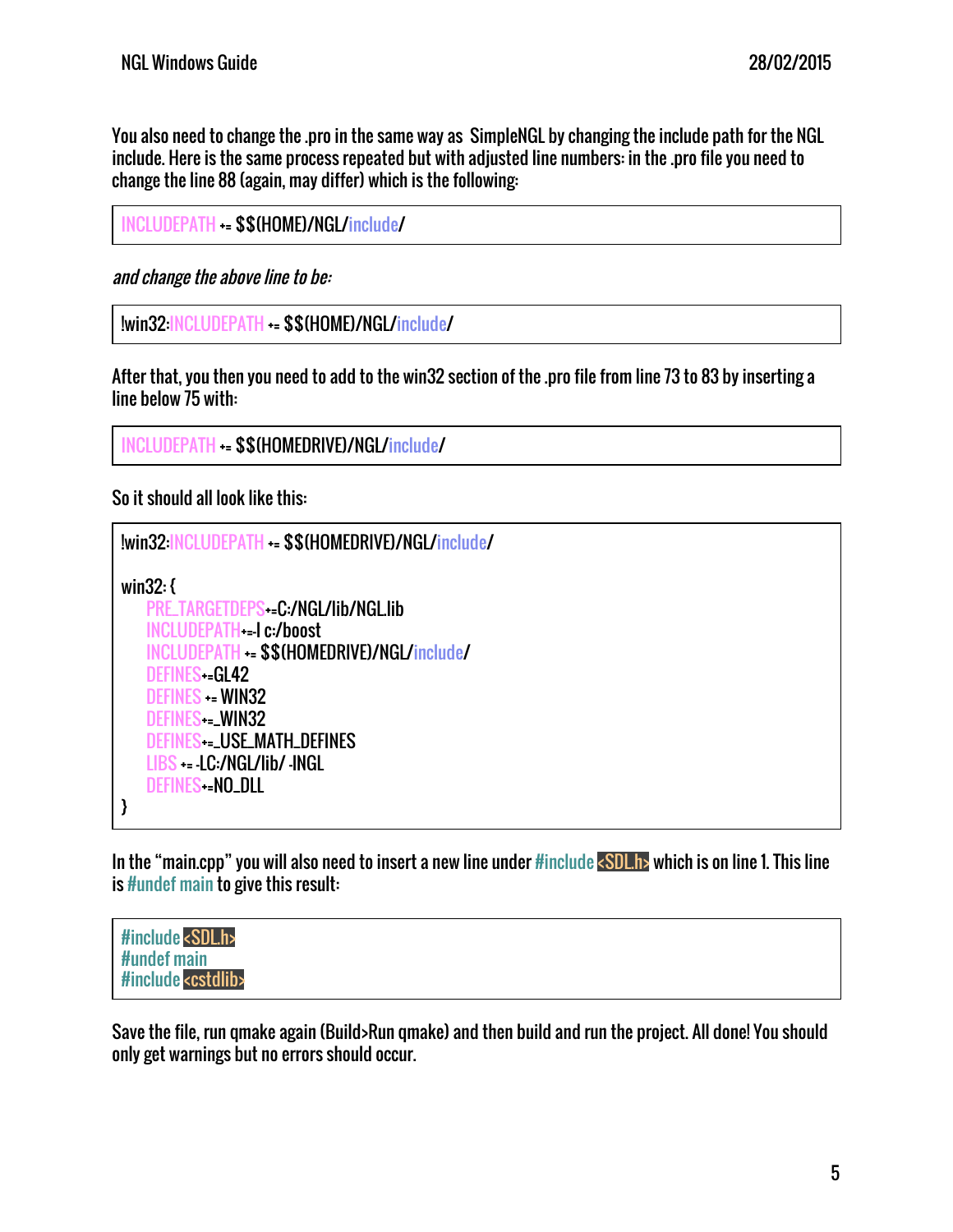You also need to change the .pro in the same way as SimpleNGL by changing the include path for the NGL include. Here is the same process repeated but with adjusted line numbers: in the .pro file you need to change the line 88 (again, may differ) which is the following:

INCLUDEPATH += \$\$(HOME)/NGL/include/

and change the above line to be:

```
!win32:INCLUDEPATH += $$(HOME)/NGL/include/
```
After that, you then you need to add to the win32 section of the .pro file from line 73 to 83 by inserting a line below 75 with:

```
INCLUDEPATH += $$(HOMEDRIVE)/NGL/include/
```
So it should all look like this:

```
!win32:INCLUDEPATH += $$(HOMEDRIVE)/NGL/include/
win32: {
   PRE_TARGETDEPS+=C:/NGL/lib/NGL.lib
   INCLUDEPATH+=-I c:/boost
   INCLUDEPATH += $$(HOMEDRIVE)/NGL/include/
   DEFINES-=GL42
   DEFINES += WIN32
   DEFINES+=_WIN32
   DEFINES+=_USE_MATH_DEFINES
   LIBS += -LC:/NGL/lib/ -lNGL
   DEFINES-=NO_DLL
}
```
In the "main.cpp" you will also need to insert a new line under #include <SDL.h> which is on line 1. This line is #undef main to give this result:

```
#include <SDL.h>
#undef main
#include <cstdlib>
```
Save the file, run qmake again (Build>Run qmake) and then build and run the project. All done! You should only get warnings but no errors should occur.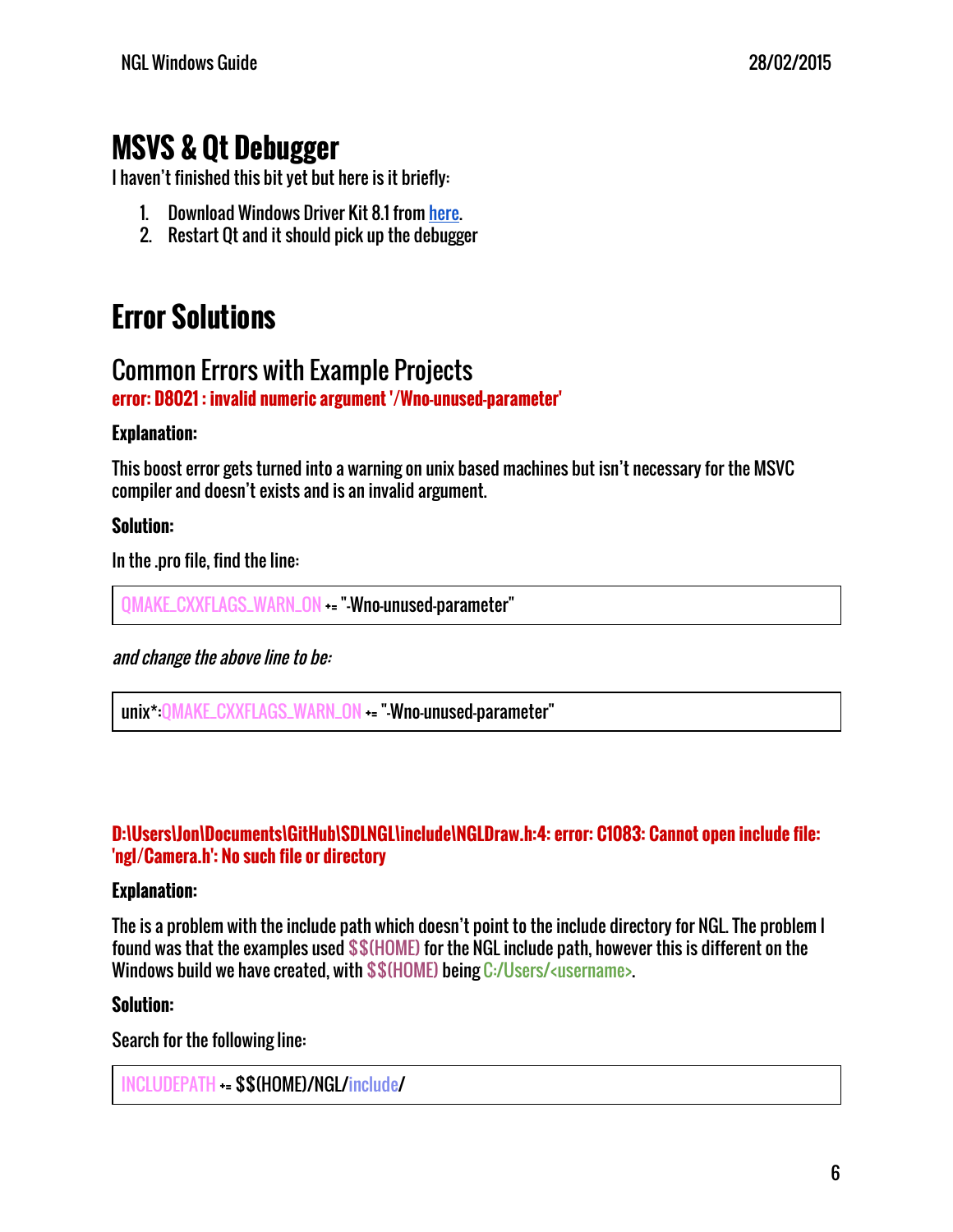# **MSVS & Qt Debugger**

I haven't finished this bit yet but here is it briefly:

- 1. Download Windows Driver Kit 8.1 from [here.](http://www.microsoft.com/en-us/download/details.aspx?id=42273)
- 2. Restart Qt and it should pick up the debugger

# <span id="page-6-0"></span>**Error Solutions**

## <span id="page-6-1"></span>Common Errors with Example Projects

**error: D8021 : invalid numeric argument '/Wno-unused-parameter'**

## **Explanation:**

This boost error gets turned into a warning on unix based machines but isn't necessary for the MSVC compiler and doesn't exists and is an invalid argument.

### **Solution:**

In the .pro file, find the line:

QMAKE\_CXXFLAGS\_WARN\_ON += "-Wno-unused-parameter"

and change the above line to be:

unix\*:QMAKE\_CXXFLAGS\_WARN\_ON += "-Wno-unused-parameter"

### **D:\Users\Jon\Documents\GitHub\SDLNGL\include\NGLDraw.h:4: error: C1083: Cannot open include file: 'ngl/Camera.h': No such file or directory**

### **Explanation:**

The is a problem with the include path which doesn't point to the include directory for NGL. The problem I found was that the examples used \$\$(HOME) for the NGL include path, however this is different on the Windows build we have created, with \$\$(HOME) being C:/Users/<username>.

### **Solution:**

Search for the following line:

INCLUDEPATH += \$\$(HOME)/NGL/include/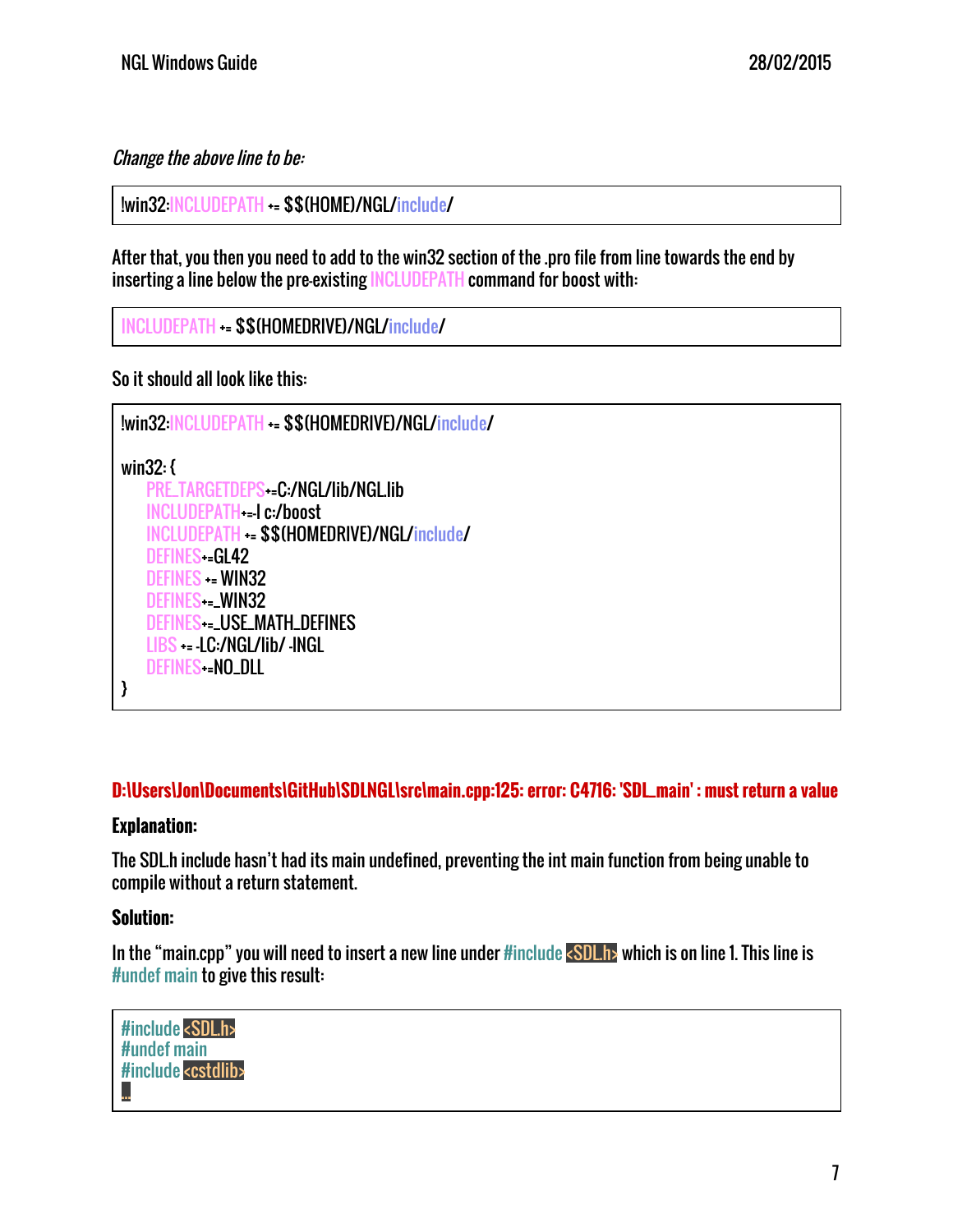## Change the above line to be:

!win32:INCLUDEPATH += \$\$(HOME)/NGL/include/

After that, you then you need to add to the win32 section of the .pro file from line towards the end by inserting a line below the pre-existing INCLUDEPATH command for boost with:

```
INCLUDEPATH += $$(HOMEDRIVE)/NGL/include/
```
So it should all look like this:

```
!win32:INCLUDEPATH += $$(HOMEDRIVE)/NGL/include/
win32: {
   PRE_TARGETDEPS+=C:/NGL/lib/NGL.lib
   INCLUDEPATH+=-I c:/boost
   INCLUDEPATH += $$(HOMEDRIVE)/NGL/include/
   DEFINES-=GL42
   DEFINES += WIN32
   DEFINES--LWIN32
   DEFINES+=_USE_MATH_DEFINES
   LIBS += -LC:/NGL/lib/ -lNGL
   DEFINES-=NO_DLL
}
```
## **D:\Users\Jon\Documents\GitHub\SDLNGL\src\main.cpp:125: error: C4716: 'SDL\_main' : must return a value**

### **Explanation:**

The SDL.h include hasn't had its main undefined, preventing the int main function from being unable to compile without a return statement.

## **Solution:**

In the "main.cpp" you will need to insert a new line under #include <SDL.h> which is on line 1. This line is #undef main to give this result:

#include <SDL.h> #undef main #include <cstdlib> ...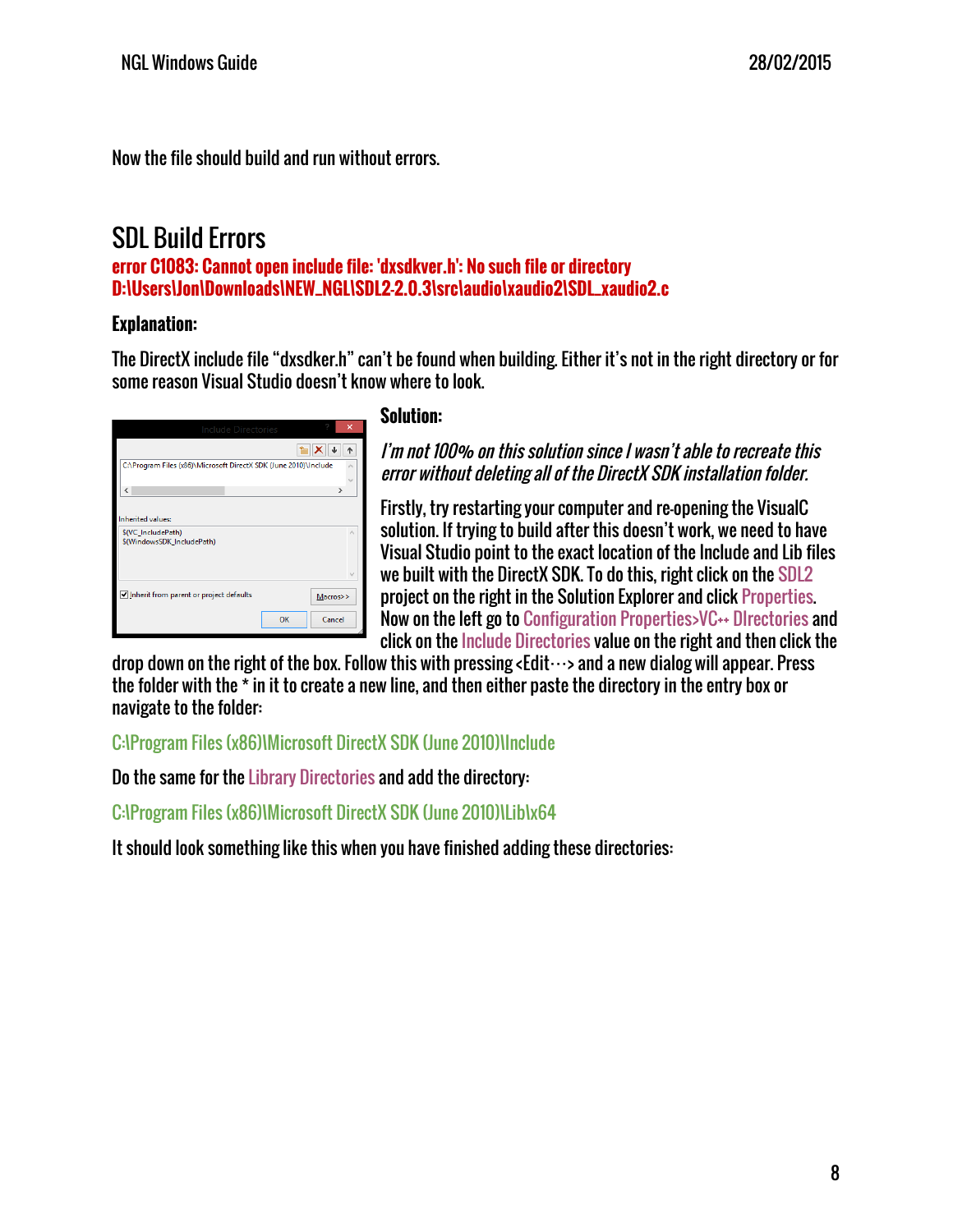Now the file should build and run without errors.

## <span id="page-8-0"></span>SDL Build Errors

**error C1083: Cannot open include file: 'dxsdkver.h': No such file or directory D:\Users\Jon\Downloads\NEW\_NGL\SDL2-2.0.3\src\audio\xaudio2\SDL\_xaudio2.c**

### **Explanation:**

The DirectX include file "dxsdker.h" can't be found when building. Either it's not in the right directory or for some reason Visual Studio doesn't know where to look.

| <b>Include Directories</b>                                       |    |          |
|------------------------------------------------------------------|----|----------|
|                                                                  |    |          |
| C:\Program Files (x86)\Microsoft DirectX SDK (June 2010)\Include |    |          |
| ∢                                                                |    | >        |
| <b>Inherited values:</b>                                         |    |          |
| \$(VC_IncludePath)<br>\$(WindowsSDK_IncludePath)                 |    | A.       |
|                                                                  |    |          |
| Inherit from parent or project defaults                          |    | Macros>> |
|                                                                  | OK | Cancel   |
|                                                                  |    |          |

### **Solution:**

I'm not 100% on this solution since I wasn't able to recreate this error without deleting all of the DirectX SDK installation folder.

Firstly, try restarting your computer and re-opening the VisualC solution. If trying to build after this doesn't work, we need to have Visual Studio point to the exact location of the Include and Lib files we built with the DirectX SDK. To do this, right click on the SDL2 project on the right in the Solution Explorer and click Properties. Now on the left go to Configuration Properties>VC++ DIrectories and click on the Include Directories value on the right and then click the

drop down on the right of the box. Follow this with pressing <Edit  $\cdots$ > and a new dialog will appear. Press the folder with the \* in it to create a new line, and then either paste the directory in the entry box or navigate to the folder:

C:\Program Files (x86)\Microsoft DirectX SDK (June 2010)\Include

Do the same for the Library Directories and add the directory:

C:\Program Files (x86)\Microsoft DirectX SDK (June 2010)\Lib\x64

It should look something like this when you have finished adding these directories: